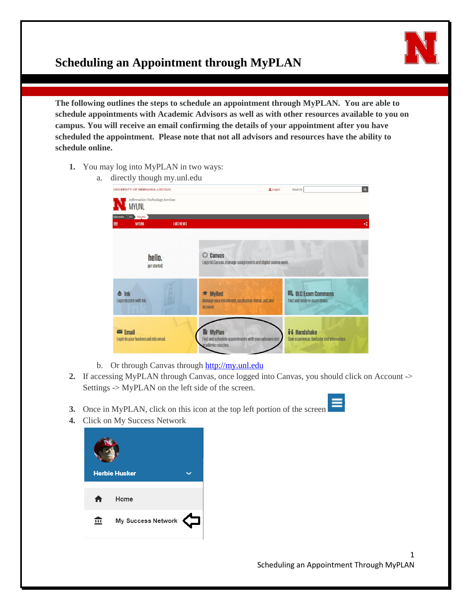## **Scheduling an Appointment through MyPLAN**

**The following outlines the steps to schedule an appointment through MyPLAN. You are able to schedule appointments with Academic Advisors as well as with other resources available to you on campus. You will receive an email confirming the details of your appointment after you have scheduled the appointment. Please note that not all advisors and resources have the ability to schedule online.**

- **1.** You may log into MyPLAN in two ways:
	- a. directly though my.unl.edu

| UNIVERSITY OF NEBRASKA-LINCOLN                                       | Login                                                                                          | $\alpha$<br>Search                                         |
|----------------------------------------------------------------------|------------------------------------------------------------------------------------------------|------------------------------------------------------------|
| <b>Information Technology Services</b><br><b>MYUNL</b>               |                                                                                                |                                                            |
| <b>ITS</b> MyUNL<br>Nebraska<br><b>LMS NEWS</b><br><b>MYUNL</b><br>≡ |                                                                                                | K.                                                         |
| hello.<br>get started:                                               | <b>Canvas</b><br>Login to Canvas, manage assignments and digital course work.                  |                                                            |
| Ink<br>$\bullet$<br>Login to print with Ink.                         | <b>MyRed</b><br>Manage your enrollment, application status, aid, and<br>account.               | <b>EL DLC Exam Commons</b><br>Find and reserve exam times. |
| $\blacksquare$ Email<br>Login to your huskers.unl.edu email.         | <b>Ba</b> MyPlan<br>Find and schedule appointments with your advisors and<br>academic coaches. | i Handshake<br>Gain experience, find jobs and internships. |

- b. Or through Canvas through [http://my.unl.edu](http://my.unl.edu/)
- **2.** If accessing MyPLAN through Canvas, once logged into Canvas, you should click on Account -> Settings -> MyPLAN on the left side of the screen.
- **3.** Once in MyPLAN, click on this icon at the top left portion of the screen
- **4.** Click on My Success Network

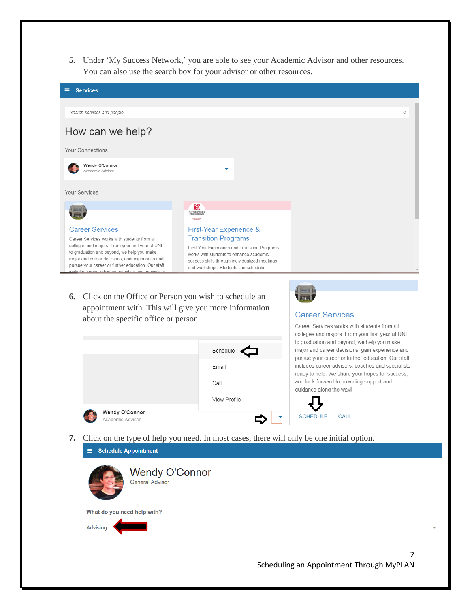**5.** Under 'My Success Network,' you are able to see your Academic Advisor and other resources. You can also use the search box for your advisor or other resources.



**6.** Click on the Office or Person you wish to schedule an appointment with. This will give you more information about the specific office or person.

## **Career Services**



**7.** Click on the type of help you need. In most cases, there will only be one initial option.

|                             | $\equiv$ Schedule Appointment                   |                                               |  |
|-----------------------------|-------------------------------------------------|-----------------------------------------------|--|
|                             | <b>Wendy O'Connor</b><br><b>General Advisor</b> |                                               |  |
| What do you need help with? |                                                 |                                               |  |
| Advising                    |                                                 |                                               |  |
|                             |                                                 | 2<br>Scheduling an Appointment Through MyPLAN |  |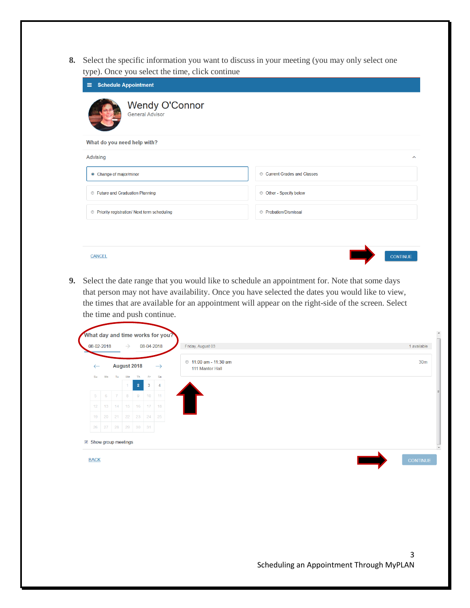**8.** Select the specific information you want to discuss in your meeting (you may only select one type). Once you select the time, click continue

| - -<br>$-$<br><b>Schedule Appointment</b><br>Ξ       |                              |  |
|------------------------------------------------------|------------------------------|--|
| <b>Wendy O'Connor</b><br><b>General Advisor</b>      |                              |  |
| What do you need help with?                          |                              |  |
| Advising                                             | $\hat{\phantom{a}}$          |  |
| • Change of major/minor                              | Current Grades and Classes   |  |
| <b>Euture and Graduation Planning</b>                | © Other - Specify below      |  |
| <b>O</b> Priority registration/ Next term scheduling | <b>E</b> Probation/Dismissal |  |
|                                                      |                              |  |
|                                                      |                              |  |
| <b>CANCEL</b>                                        | <b>CONTINUE</b>              |  |

**9.** Select the date range that you would like to schedule an appointment for. Note that some days that person may not have availability. Once you have selected the dates you would like to view, the times that are available for an appointment will appear on the right-side of the screen. Select the time and push continue.